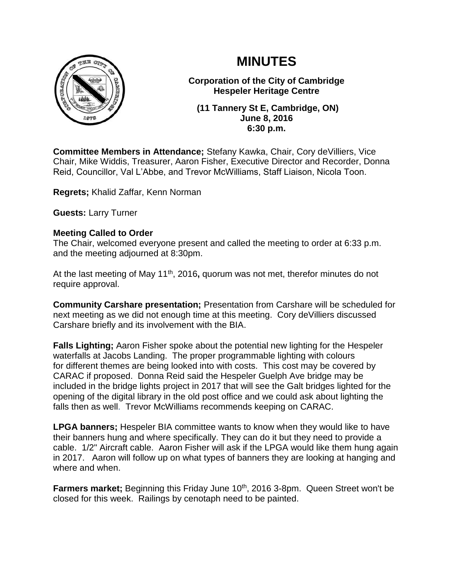



**Corporation of the City of Cambridge Hespeler Heritage Centre**

**(11 Tannery St E, Cambridge, ON) June 8, 2016 6:30 p.m.**

**Committee Members in Attendance;** Stefany Kawka, Chair, Cory deVilliers, Vice Chair, Mike Widdis, Treasurer, Aaron Fisher, Executive Director and Recorder, Donna Reid, Councillor, Val L'Abbe, and Trevor McWilliams, Staff Liaison, Nicola Toon.

**Regrets;** Khalid Zaffar, Kenn Norman

**Guests:** Larry Turner

### **Meeting Called to Order**

The Chair, welcomed everyone present and called the meeting to order at 6:33 p.m. and the meeting adjourned at 8:30pm.

At the last meeting of May 11<sup>th</sup>, 2016, quorum was not met, therefor minutes do not require approval.

**Community Carshare presentation;** Presentation from Carshare will be scheduled for next meeting as we did not enough time at this meeting. Cory deVilliers discussed Carshare briefly and its involvement with the BIA.

**Falls Lighting;** Aaron Fisher spoke about the potential new lighting for the Hespeler waterfalls at Jacobs Landing. The proper programmable lighting with colours for different themes are being looked into with costs. This cost may be covered by CARAC if proposed. Donna Reid said the Hespeler Guelph Ave bridge may be included in the bridge lights project in 2017 that will see the Galt bridges lighted for the opening of the digital library in the old post office and we could ask about lighting the falls then as well. Trevor McWilliams recommends keeping on CARAC.

**LPGA banners;** Hespeler BIA committee wants to know when they would like to have their banners hung and where specifically. They can do it but they need to provide a cable. 1/2" Aircraft cable. Aaron Fisher will ask if the LPGA would like them hung again in 2017. Aaron will follow up on what types of banners they are looking at hanging and where and when.

**Farmers market;** Beginning this Friday June 10<sup>th</sup>, 2016 3-8pm. Queen Street won't be closed for this week. Railings by cenotaph need to be painted.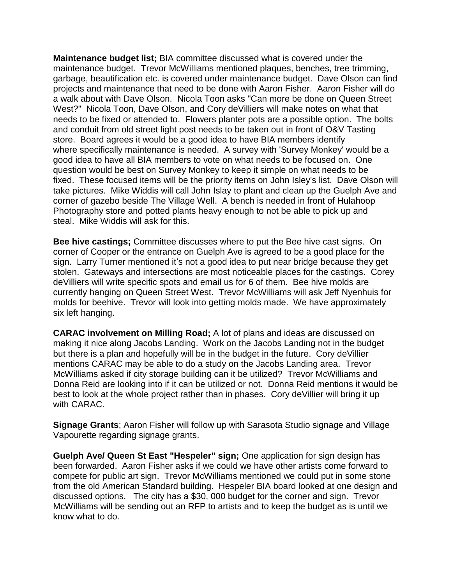**Maintenance budget list;** BIA committee discussed what is covered under the maintenance budget. Trevor McWilliams mentioned plaques, benches, tree trimming, garbage, beautification etc. is covered under maintenance budget. Dave Olson can find projects and maintenance that need to be done with Aaron Fisher. Aaron Fisher will do a walk about with Dave Olson. Nicola Toon asks "Can more be done on Queen Street West?" Nicola Toon, Dave Olson, and Cory deVilliers will make notes on what that needs to be fixed or attended to. Flowers planter pots are a possible option. The bolts and conduit from old street light post needs to be taken out in front of O&V Tasting store. Board agrees it would be a good idea to have BIA members identify where specifically maintenance is needed. A survey with 'Survey Monkey' would be a good idea to have all BIA members to vote on what needs to be focused on. One question would be best on Survey Monkey to keep it simple on what needs to be fixed. These focused items will be the priority items on John Isley's list. Dave Olson will take pictures. Mike Widdis will call John Islay to plant and clean up the Guelph Ave and corner of gazebo beside The Village Well. A bench is needed in front of Hulahoop Photography store and potted plants heavy enough to not be able to pick up and steal. Mike Widdis will ask for this.

**Bee hive castings;** Committee discusses where to put the Bee hive cast signs. On corner of Cooper or the entrance on Guelph Ave is agreed to be a good place for the sign. Larry Turner mentioned it's not a good idea to put near bridge because they get stolen. Gateways and intersections are most noticeable places for the castings. Corey deVilliers will write specific spots and email us for 6 of them. Bee hive molds are currently hanging on Queen Street West. Trevor McWilliams will ask Jeff Nyenhuis for molds for beehive. Trevor will look into getting molds made. We have approximately six left hanging.

**CARAC involvement on Milling Road;** A lot of plans and ideas are discussed on making it nice along Jacobs Landing. Work on the Jacobs Landing not in the budget but there is a plan and hopefully will be in the budget in the future. Cory deVillier mentions CARAC may be able to do a study on the Jacobs Landing area. Trevor McWilliams asked if city storage building can it be utilized? Trevor McWilliams and Donna Reid are looking into if it can be utilized or not. Donna Reid mentions it would be best to look at the whole project rather than in phases. Cory deVillier will bring it up with CARAC.

**Signage Grants**; Aaron Fisher will follow up with Sarasota Studio signage and Village Vapourette regarding signage grants.

**Guelph Ave/ Queen St East "Hespeler" sign;** One application for sign design has been forwarded. Aaron Fisher asks if we could we have other artists come forward to compete for public art sign. Trevor McWilliams mentioned we could put in some stone from the old American Standard building. Hespeler BIA board looked at one design and discussed options. The city has a \$30, 000 budget for the corner and sign. Trevor McWilliams will be sending out an RFP to artists and to keep the budget as is until we know what to do.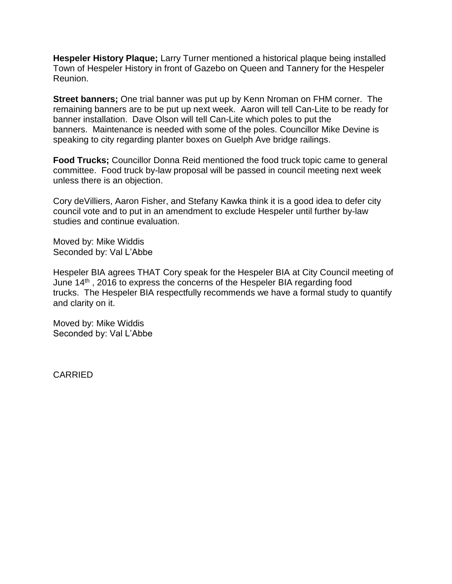**Hespeler History Plaque;** Larry Turner mentioned a historical plaque being installed Town of Hespeler History in front of Gazebo on Queen and Tannery for the Hespeler Reunion.

**Street banners;** One trial banner was put up by Kenn Nroman on FHM corner. The remaining banners are to be put up next week. Aaron will tell Can-Lite to be ready for banner installation. Dave Olson will tell Can-Lite which poles to put the banners. Maintenance is needed with some of the poles. Councillor Mike Devine is speaking to city regarding planter boxes on Guelph Ave bridge railings.

**Food Trucks;** Councillor Donna Reid mentioned the food truck topic came to general committee. Food truck by-law proposal will be passed in council meeting next week unless there is an objection.

Cory deVilliers, Aaron Fisher, and Stefany Kawka think it is a good idea to defer city council vote and to put in an amendment to exclude Hespeler until further by-law studies and continue evaluation.

Moved by: Mike Widdis Seconded by: Val L'Abbe

Hespeler BIA agrees THAT Cory speak for the Hespeler BIA at City Council meeting of June 14<sup>th</sup>, 2016 to express the concerns of the Hespeler BIA regarding food trucks. The Hespeler BIA respectfully recommends we have a formal study to quantify and clarity on it.

Moved by: Mike Widdis Seconded by: Val L'Abbe

CARRIED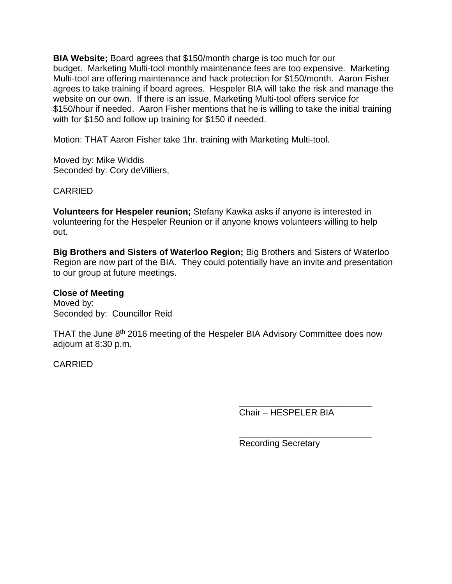**BIA Website;** Board agrees that \$150/month charge is too much for our budget. Marketing Multi-tool monthly maintenance fees are too expensive. Marketing Multi-tool are offering maintenance and hack protection for \$150/month. Aaron Fisher agrees to take training if board agrees. Hespeler BIA will take the risk and manage the website on our own. If there is an issue, Marketing Multi-tool offers service for \$150/hour if needed. Aaron Fisher mentions that he is willing to take the initial training with for \$150 and follow up training for \$150 if needed.

Motion: THAT Aaron Fisher take 1hr. training with Marketing Multi-tool.

Moved by: Mike Widdis Seconded by: Cory deVilliers,

CARRIED

**Volunteers for Hespeler reunion;** Stefany Kawka asks if anyone is interested in volunteering for the Hespeler Reunion or if anyone knows volunteers willing to help out.

**Big Brothers and Sisters of Waterloo Region;** Big Brothers and Sisters of Waterloo Region are now part of the BIA. They could potentially have an invite and presentation to our group at future meetings.

**Close of Meeting**

Moved by: Seconded by: Councillor Reid

THAT the June 8<sup>th</sup> 2016 meeting of the Hespeler BIA Advisory Committee does now adjourn at 8:30 p.m.

CARRIED

Chair – HESPELER BIA

\_\_\_\_\_\_\_\_\_\_\_\_\_\_\_\_\_\_\_\_\_\_\_\_\_\_\_

\_\_\_\_\_\_\_\_\_\_\_\_\_\_\_\_\_\_\_\_\_\_\_\_\_\_\_

Recording Secretary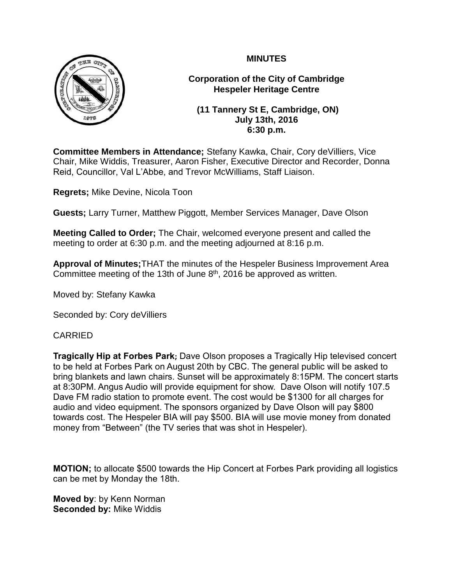

**Corporation of the City of Cambridge Hespeler Heritage Centre**

**(11 Tannery St E, Cambridge, ON) July 13th, 2016 6:30 p.m.**

**Committee Members in Attendance;** Stefany Kawka, Chair, Cory deVilliers, Vice Chair, Mike Widdis, Treasurer, Aaron Fisher, Executive Director and Recorder, Donna Reid, Councillor, Val L'Abbe, and Trevor McWilliams, Staff Liaison.

**Regrets;** Mike Devine, Nicola Toon

**Guests;** Larry Turner, Matthew Piggott, Member Services Manager, Dave Olson

**Meeting Called to Order;** The Chair, welcomed everyone present and called the meeting to order at 6:30 p.m. and the meeting adjourned at 8:16 p.m.

**Approval of Minutes;**THAT the minutes of the Hespeler Business Improvement Area Committee meeting of the 13th of June  $8<sup>th</sup>$ , 2016 be approved as written.

Moved by: Stefany Kawka

Seconded by: Cory deVilliers

## CARRIED

**Tragically Hip at Forbes Park;** Dave Olson proposes a Tragically Hip televised concert to be held at Forbes Park on August 20th by CBC. The general public will be asked to bring blankets and lawn chairs. Sunset will be approximately 8:15PM. The concert starts at 8:30PM. Angus Audio will provide equipment for show. Dave Olson will notify 107.5 Dave FM radio station to promote event. The cost would be \$1300 for all charges for audio and video equipment. The sponsors organized by Dave Olson will pay \$800 towards cost. The Hespeler BIA will pay \$500. BIA will use movie money from donated money from "Between" (the TV series that was shot in Hespeler).

**MOTION;** to allocate \$500 towards the Hip Concert at Forbes Park providing all logistics can be met by Monday the 18th.

**Moved by**: by Kenn Norman **Seconded by:** Mike Widdis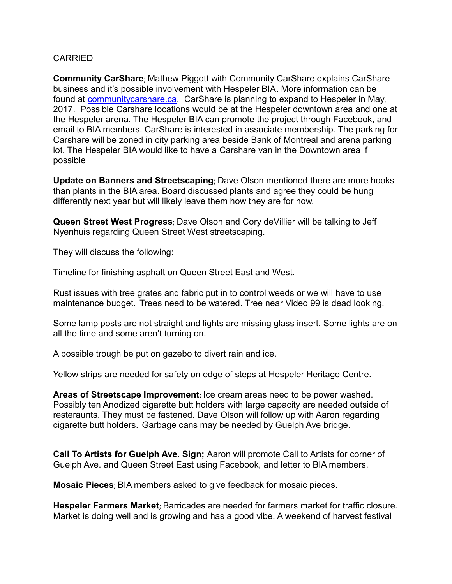### CARRIED

**Community CarShare**; Mathew Piggott with Community CarShare explains CarShare business and it's possible involvement with Hespeler BIA. More information can be found at [communitycarshare.ca.](http://communitycarshare.ca/) CarShare is planning to expand to Hespeler in May, 2017. Possible Carshare locations would be at the Hespeler downtown area and one at the Hespeler arena. The Hespeler BIA can promote the project through Facebook, and email to BIA members. CarShare is interested in associate membership. The parking for Carshare will be zoned in city parking area beside Bank of Montreal and arena parking lot. The Hespeler BIA would like to have a Carshare van in the Downtown area if possible

**Update on Banners and Streetscaping**; Dave Olson mentioned there are more hooks than plants in the BIA area. Board discussed plants and agree they could be hung differently next year but will likely leave them how they are for now.

**Queen Street West Progress**; Dave Olson and Cory deVillier will be talking to Jeff Nyenhuis regarding Queen Street West streetscaping.

They will discuss the following:

Timeline for finishing asphalt on Queen Street East and West.

Rust issues with tree grates and fabric put in to control weeds or we will have to use maintenance budget. Trees need to be watered. Tree near Video 99 is dead looking.

Some lamp posts are not straight and lights are missing glass insert. Some lights are on all the time and some aren't turning on.

A possible trough be put on gazebo to divert rain and ice.

Yellow strips are needed for safety on edge of steps at Hespeler Heritage Centre.

**Areas of Streetscape Improvement**; Ice cream areas need to be power washed. Possibly ten Anodized cigarette butt holders with large capacity are needed outside of resteraunts. They must be fastened. Dave Olson will follow up with Aaron regarding cigarette butt holders. Garbage cans may be needed by Guelph Ave bridge.

**Call To Artists for Guelph Ave. Sign;** Aaron will promote Call to Artists for corner of Guelph Ave. and Queen Street East using Facebook, and letter to BIA members.

**Mosaic Pieces**; BIA members asked to give feedback for mosaic pieces.

**Hespeler Farmers Market**; Barricades are needed for farmers market for traffic closure. Market is doing well and is growing and has a good vibe. A weekend of harvest festival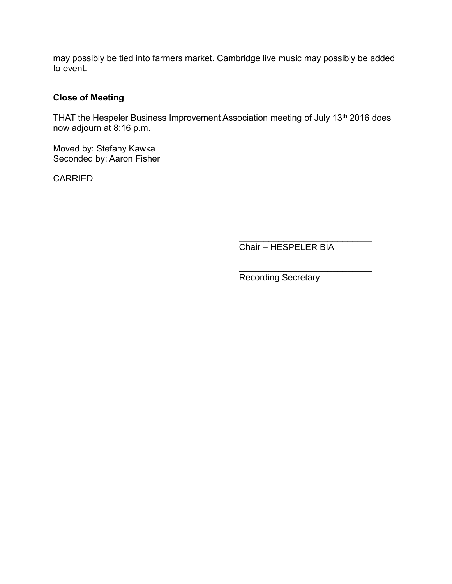may possibly be tied into farmers market. Cambridge live music may possibly be added to event.

### **Close of Meeting**

THAT the Hespeler Business Improvement Association meeting of July 13<sup>th</sup> 2016 does now adjourn at 8:16 p.m.

Moved by: Stefany Kawka Seconded by: Aaron Fisher

CARRIED

Chair – HESPELER BIA

\_\_\_\_\_\_\_\_\_\_\_\_\_\_\_\_\_\_\_\_\_\_\_\_\_\_\_

\_\_\_\_\_\_\_\_\_\_\_\_\_\_\_\_\_\_\_\_\_\_\_\_\_\_\_ Recording Secretary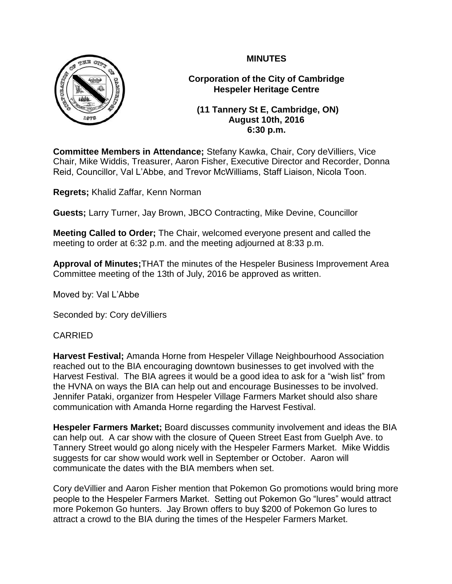

**Corporation of the City of Cambridge Hespeler Heritage Centre**

**(11 Tannery St E, Cambridge, ON) August 10th, 2016 6:30 p.m.**

**Committee Members in Attendance;** Stefany Kawka, Chair, Cory deVilliers, Vice Chair, Mike Widdis, Treasurer, Aaron Fisher, Executive Director and Recorder, Donna Reid, Councillor, Val L'Abbe, and Trevor McWilliams, Staff Liaison, Nicola Toon.

**Regrets;** Khalid Zaffar, Kenn Norman

**Guests;** Larry Turner, Jay Brown, JBCO Contracting, Mike Devine, Councillor

**Meeting Called to Order;** The Chair, welcomed everyone present and called the meeting to order at 6:32 p.m. and the meeting adjourned at 8:33 p.m.

**Approval of Minutes;**THAT the minutes of the Hespeler Business Improvement Area Committee meeting of the 13th of July, 2016 be approved as written.

Moved by: Val L'Abbe

Seconded by: Cory deVilliers

## CARRIED

**Harvest Festival;** Amanda Horne from Hespeler Village Neighbourhood Association reached out to the BIA encouraging downtown businesses to get involved with the Harvest Festival. The BIA agrees it would be a good idea to ask for a "wish list" from the HVNA on ways the BIA can help out and encourage Businesses to be involved. Jennifer Pataki, organizer from Hespeler Village Farmers Market should also share communication with Amanda Horne regarding the Harvest Festival.

**Hespeler Farmers Market;** Board discusses community involvement and ideas the BIA can help out. A car show with the closure of Queen Street East from Guelph Ave. to Tannery Street would go along nicely with the Hespeler Farmers Market. Mike Widdis suggests for car show would work well in September or October. Aaron will communicate the dates with the BIA members when set.

Cory deVillier and Aaron Fisher mention that Pokemon Go promotions would bring more people to the Hespeler Farmers Market. Setting out Pokemon Go "lures" would attract more Pokemon Go hunters. Jay Brown offers to buy \$200 of Pokemon Go lures to attract a crowd to the BIA during the times of the Hespeler Farmers Market.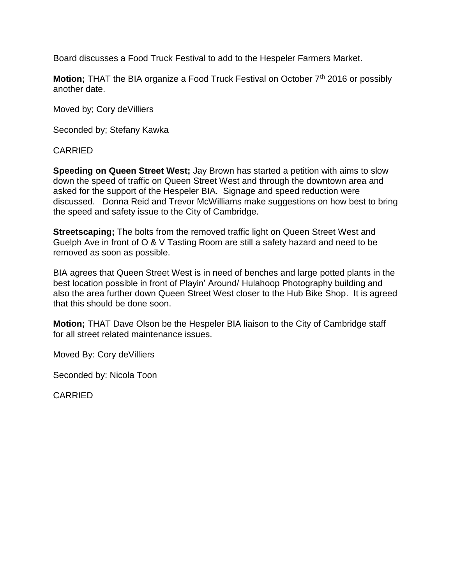Board discusses a Food Truck Festival to add to the Hespeler Farmers Market.

**Motion;** THAT the BIA organize a Food Truck Festival on October 7<sup>th</sup> 2016 or possibly another date.

Moved by; Cory deVilliers

Seconded by; Stefany Kawka

CARRIED

**Speeding on Queen Street West;** Jay Brown has started a petition with aims to slow down the speed of traffic on Queen Street West and through the downtown area and asked for the support of the Hespeler BIA. Signage and speed reduction were discussed. Donna Reid and Trevor McWilliams make suggestions on how best to bring the speed and safety issue to the City of Cambridge.

**Streetscaping;** The bolts from the removed traffic light on Queen Street West and Guelph Ave in front of O & V Tasting Room are still a safety hazard and need to be removed as soon as possible.

BIA agrees that Queen Street West is in need of benches and large potted plants in the best location possible in front of Playin' Around/ Hulahoop Photography building and also the area further down Queen Street West closer to the Hub Bike Shop. It is agreed that this should be done soon.

**Motion;** THAT Dave Olson be the Hespeler BIA liaison to the City of Cambridge staff for all street related maintenance issues.

Moved By: Cory deVilliers

Seconded by: Nicola Toon

CARRIED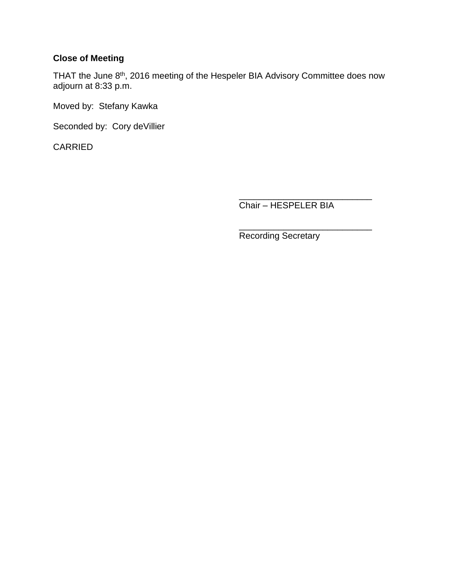# **Close of Meeting**

THAT the June 8<sup>th</sup>, 2016 meeting of the Hespeler BIA Advisory Committee does now adjourn at 8:33 p.m.

Moved by: Stefany Kawka

Seconded by: Cory deVillier

CARRIED

\_\_\_\_\_\_\_\_\_\_\_\_\_\_\_\_\_\_\_\_\_\_\_\_\_\_\_ Chair – HESPELER BIA

\_\_\_\_\_\_\_\_\_\_\_\_\_\_\_\_\_\_\_\_\_\_\_\_\_\_\_ Recording Secretary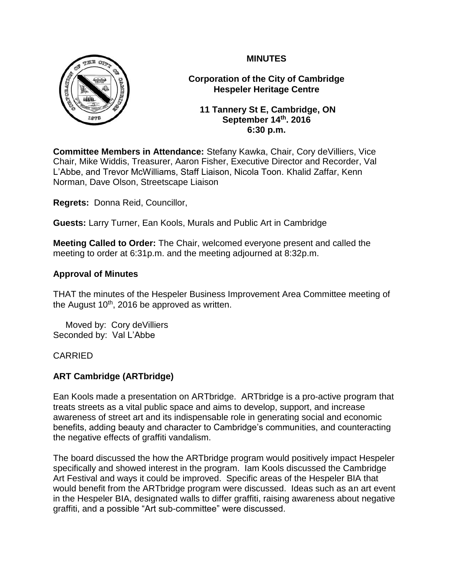

**Corporation of the City of Cambridge Hespeler Heritage Centre**

**11 Tannery St E, Cambridge, ON September 14th. 2016 6:30 p.m.**

**Committee Members in Attendance:** Stefany Kawka, Chair, Cory deVilliers, Vice Chair, Mike Widdis, Treasurer, Aaron Fisher, Executive Director and Recorder, Val L'Abbe, and Trevor McWilliams, Staff Liaison, Nicola Toon. Khalid Zaffar, Kenn Norman, Dave Olson, Streetscape Liaison

**Regrets:** Donna Reid, Councillor,

**Guests:** Larry Turner, Ean Kools, Murals and Public Art in Cambridge

**Meeting Called to Order:** The Chair, welcomed everyone present and called the meeting to order at 6:31p.m. and the meeting adjourned at 8:32p.m.

### **Approval of Minutes**

THAT the minutes of the Hespeler Business Improvement Area Committee meeting of the August  $10<sup>th</sup>$ , 2016 be approved as written.

 Moved by: Cory deVilliers Seconded by: Val L'Abbe

### CARRIED

## **ART Cambridge (ARTbridge)**

Ean Kools made a presentation on ARTbridge. ARTbridge is a pro-active program that treats streets as a vital public space and aims to develop, support, and increase awareness of street art and its indispensable role in generating social and economic benefits, adding beauty and character to Cambridge's communities, and counteracting the negative effects of graffiti vandalism.

The board discussed the how the ARTbridge program would positively impact Hespeler specifically and showed interest in the program. Iam Kools discussed the Cambridge Art Festival and ways it could be improved. Specific areas of the Hespeler BIA that would benefit from the ARTbridge program were discussed. Ideas such as an art event in the Hespeler BIA, designated walls to differ graffiti, raising awareness about negative graffiti, and a possible "Art sub-committee" were discussed.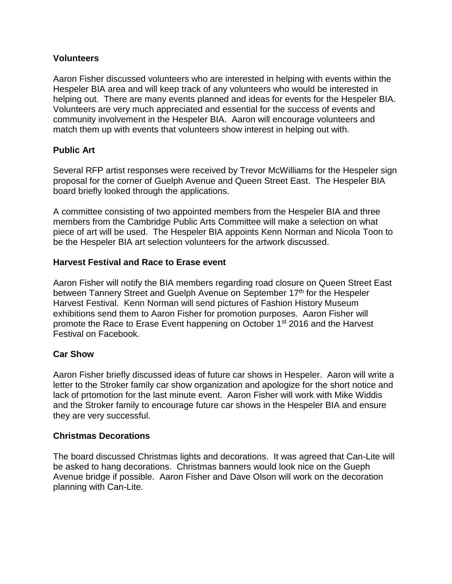### **Volunteers**

Aaron Fisher discussed volunteers who are interested in helping with events within the Hespeler BIA area and will keep track of any volunteers who would be interested in helping out. There are many events planned and ideas for events for the Hespeler BIA. Volunteers are very much appreciated and essential for the success of events and community involvement in the Hespeler BIA. Aaron will encourage volunteers and match them up with events that volunteers show interest in helping out with.

## **Public Art**

Several RFP artist responses were received by Trevor McWilliams for the Hespeler sign proposal for the corner of Guelph Avenue and Queen Street East. The Hespeler BIA board briefly looked through the applications.

A committee consisting of two appointed members from the Hespeler BIA and three members from the Cambridge Public Arts Committee will make a selection on what piece of art will be used. The Hespeler BIA appoints Kenn Norman and Nicola Toon to be the Hespeler BIA art selection volunteers for the artwork discussed.

### **Harvest Festival and Race to Erase event**

Aaron Fisher will notify the BIA members regarding road closure on Queen Street East between Tannery Street and Guelph Avenue on September 17<sup>th</sup> for the Hespeler Harvest Festival. Kenn Norman will send pictures of Fashion History Museum exhibitions send them to Aaron Fisher for promotion purposes. Aaron Fisher will promote the Race to Erase Event happening on October 1<sup>st</sup> 2016 and the Harvest Festival on Facebook.

### **Car Show**

Aaron Fisher briefly discussed ideas of future car shows in Hespeler. Aaron will write a letter to the Stroker family car show organization and apologize for the short notice and lack of prtomotion for the last minute event. Aaron Fisher will work with Mike Widdis and the Stroker family to encourage future car shows in the Hespeler BIA and ensure they are very successful.

### **Christmas Decorations**

The board discussed Christmas lights and decorations. It was agreed that Can-Lite will be asked to hang decorations. Christmas banners would look nice on the Gueph Avenue bridge if possible. Aaron Fisher and Dave Olson will work on the decoration planning with Can-Lite.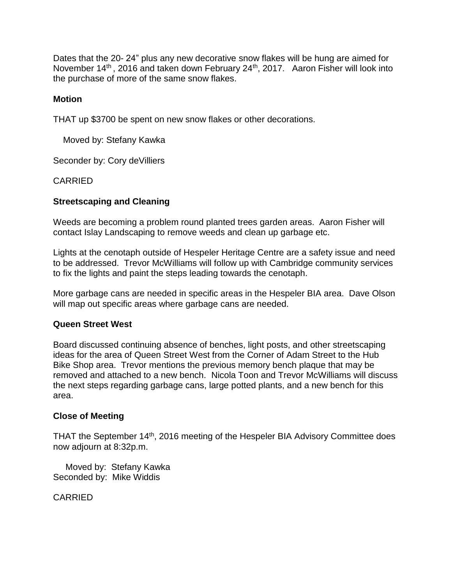Dates that the 20- 24" plus any new decorative snow flakes will be hung are aimed for November 14<sup>th</sup>, 2016 and taken down February 24<sup>th</sup>, 2017. Aaron Fisher will look into the purchase of more of the same snow flakes.

#### **Motion**

THAT up \$3700 be spent on new snow flakes or other decorations.

Moved by: Stefany Kawka

Seconder by: Cory deVilliers

#### CARRIED

#### **Streetscaping and Cleaning**

Weeds are becoming a problem round planted trees garden areas. Aaron Fisher will contact Islay Landscaping to remove weeds and clean up garbage etc.

Lights at the cenotaph outside of Hespeler Heritage Centre are a safety issue and need to be addressed. Trevor McWilliams will follow up with Cambridge community services to fix the lights and paint the steps leading towards the cenotaph.

More garbage cans are needed in specific areas in the Hespeler BIA area. Dave Olson will map out specific areas where garbage cans are needed.

#### **Queen Street West**

Board discussed continuing absence of benches, light posts, and other streetscaping ideas for the area of Queen Street West from the Corner of Adam Street to the Hub Bike Shop area. Trevor mentions the previous memory bench plaque that may be removed and attached to a new bench. Nicola Toon and Trevor McWilliams will discuss the next steps regarding garbage cans, large potted plants, and a new bench for this area.

#### **Close of Meeting**

THAT the September 14<sup>th</sup>, 2016 meeting of the Hespeler BIA Advisory Committee does now adjourn at 8:32p.m.

 Moved by: Stefany Kawka Seconded by: Mike Widdis

CARRIED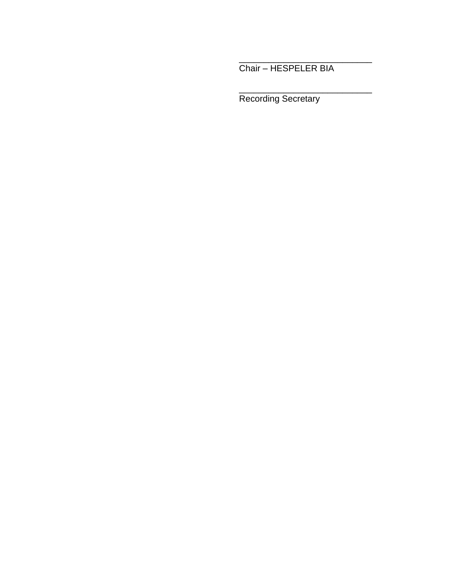Chair – HESPELER BIA

\_\_\_\_\_\_\_\_\_\_\_\_\_\_\_\_\_\_\_\_\_\_\_\_\_\_\_

\_\_\_\_\_\_\_\_\_\_\_\_\_\_\_\_\_\_\_\_\_\_\_\_\_\_\_

Recording Secretary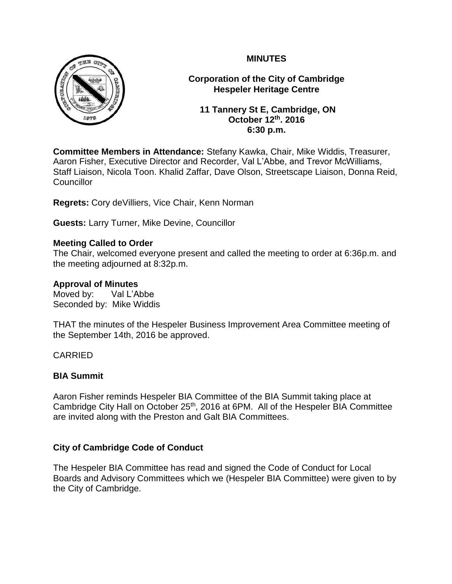

**Corporation of the City of Cambridge Hespeler Heritage Centre**

**11 Tannery St E, Cambridge, ON October 12th. 2016 6:30 p.m.**

**Committee Members in Attendance:** Stefany Kawka, Chair, Mike Widdis, Treasurer, Aaron Fisher, Executive Director and Recorder, Val L'Abbe, and Trevor McWilliams, Staff Liaison, Nicola Toon. Khalid Zaffar, Dave Olson, Streetscape Liaison, Donna Reid, **Councillor** 

**Regrets:** Cory deVilliers, Vice Chair, Kenn Norman

**Guests:** Larry Turner, Mike Devine, Councillor

### **Meeting Called to Order**

The Chair, welcomed everyone present and called the meeting to order at 6:36p.m. and the meeting adjourned at 8:32p.m.

### **Approval of Minutes**

Moved by: Val L'Abbe Seconded by: Mike Widdis

THAT the minutes of the Hespeler Business Improvement Area Committee meeting of the September 14th, 2016 be approved.

## CARRIED

### **BIA Summit**

Aaron Fisher reminds Hespeler BIA Committee of the BIA Summit taking place at Cambridge City Hall on October 25<sup>th</sup>, 2016 at 6PM. All of the Hespeler BIA Committee are invited along with the Preston and Galt BIA Committees.

## **City of Cambridge Code of Conduct**

The Hespeler BIA Committee has read and signed the Code of Conduct for Local Boards and Advisory Committees which we (Hespeler BIA Committee) were given to by the City of Cambridge.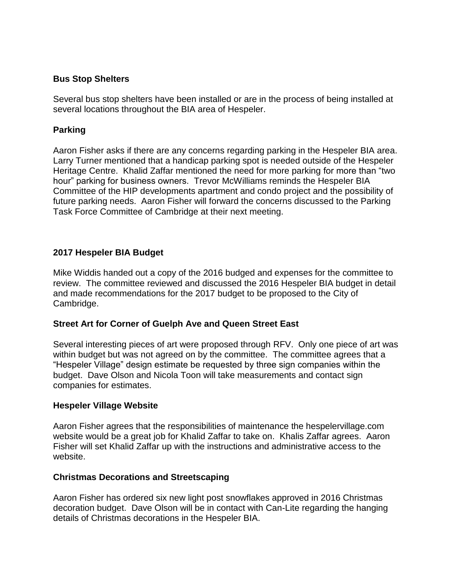#### **Bus Stop Shelters**

Several bus stop shelters have been installed or are in the process of being installed at several locations throughout the BIA area of Hespeler.

### **Parking**

Aaron Fisher asks if there are any concerns regarding parking in the Hespeler BIA area. Larry Turner mentioned that a handicap parking spot is needed outside of the Hespeler Heritage Centre. Khalid Zaffar mentioned the need for more parking for more than "two hour" parking for business owners. Trevor McWilliams reminds the Hespeler BIA Committee of the HIP developments apartment and condo project and the possibility of future parking needs. Aaron Fisher will forward the concerns discussed to the Parking Task Force Committee of Cambridge at their next meeting.

### **2017 Hespeler BIA Budget**

Mike Widdis handed out a copy of the 2016 budged and expenses for the committee to review. The committee reviewed and discussed the 2016 Hespeler BIA budget in detail and made recommendations for the 2017 budget to be proposed to the City of Cambridge.

### **Street Art for Corner of Guelph Ave and Queen Street East**

Several interesting pieces of art were proposed through RFV. Only one piece of art was within budget but was not agreed on by the committee. The committee agrees that a "Hespeler Village" design estimate be requested by three sign companies within the budget. Dave Olson and Nicola Toon will take measurements and contact sign companies for estimates.

#### **Hespeler Village Website**

Aaron Fisher agrees that the responsibilities of maintenance the hespelervillage.com website would be a great job for Khalid Zaffar to take on. Khalis Zaffar agrees. Aaron Fisher will set Khalid Zaffar up with the instructions and administrative access to the website.

#### **Christmas Decorations and Streetscaping**

Aaron Fisher has ordered six new light post snowflakes approved in 2016 Christmas decoration budget. Dave Olson will be in contact with Can-Lite regarding the hanging details of Christmas decorations in the Hespeler BIA.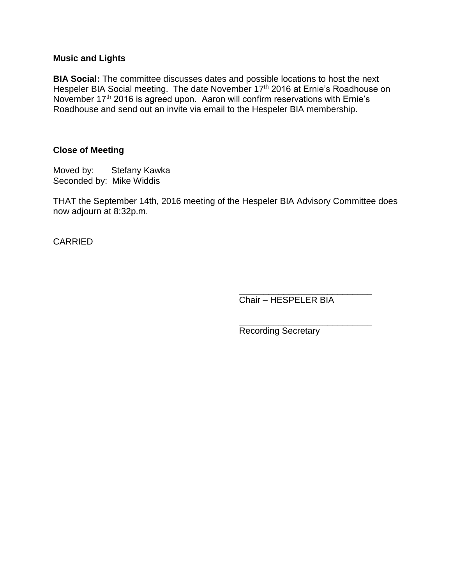#### **Music and Lights**

**BIA Social:** The committee discusses dates and possible locations to host the next Hespeler BIA Social meeting. The date November 17<sup>th</sup> 2016 at Ernie's Roadhouse on November 17th 2016 is agreed upon. Aaron will confirm reservations with Ernie's Roadhouse and send out an invite via email to the Hespeler BIA membership.

#### **Close of Meeting**

Moved by: Stefany Kawka Seconded by: Mike Widdis

THAT the September 14th, 2016 meeting of the Hespeler BIA Advisory Committee does now adjourn at 8:32p.m.

CARRIED

\_\_\_\_\_\_\_\_\_\_\_\_\_\_\_\_\_\_\_\_\_\_\_\_\_\_\_ Chair – HESPELER BIA

\_\_\_\_\_\_\_\_\_\_\_\_\_\_\_\_\_\_\_\_\_\_\_\_\_\_\_

Recording Secretary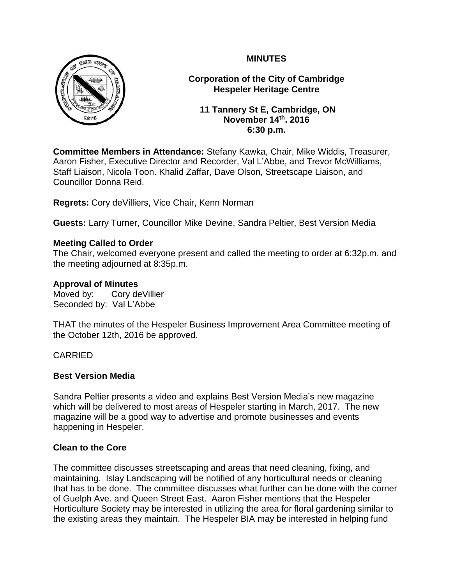

**Corporation of the City of Cambridge Hespeler Heritage Centre**

**11 Tannery St E, Cambridge, ON November 14th. 2016 6:30 p.m.**

**Committee Members in Attendance:** Stefany Kawka, Chair, Mike Widdis, Treasurer, Aaron Fisher, Executive Director and Recorder, Val L'Abbe, and Trevor McWilliams, Staff Liaison, Nicola Toon. Khalid Zaffar, Dave Olson, Streetscape Liaison, and Councillor Donna Reid.

**Regrets:** Cory deVilliers, Vice Chair, Kenn Norman

**Guests:** Larry Turner, Councillor Mike Devine, Sandra Peltier, Best Version Media

## **Meeting Called to Order**

The Chair, welcomed everyone present and called the meeting to order at 6:32p.m. and the meeting adjourned at 8:35p.m.

## **Approval of Minutes**

Moved by: Cory deVillier Seconded by: Val L'Abbe

THAT the minutes of the Hespeler Business Improvement Area Committee meeting of the October 12th, 2016 be approved.

# CARRIED

## **Best Version Media**

Sandra Peltier presents a video and explains Best Version Media's new magazine which will be delivered to most areas of Hespeler starting in March, 2017. The new magazine will be a good way to advertise and promote businesses and events happening in Hespeler.

## **Clean to the Core**

The committee discusses streetscaping and areas that need cleaning, fixing, and maintaining. Islay Landscaping will be notified of any horticultural needs or cleaning that has to be done. The committee discusses what further can be done with the corner of Guelph Ave. and Queen Street East. Aaron Fisher mentions that the Hespeler Horticulture Society may be interested in utilizing the area for floral gardening similar to the existing areas they maintain. The Hespeler BIA may be interested in helping fund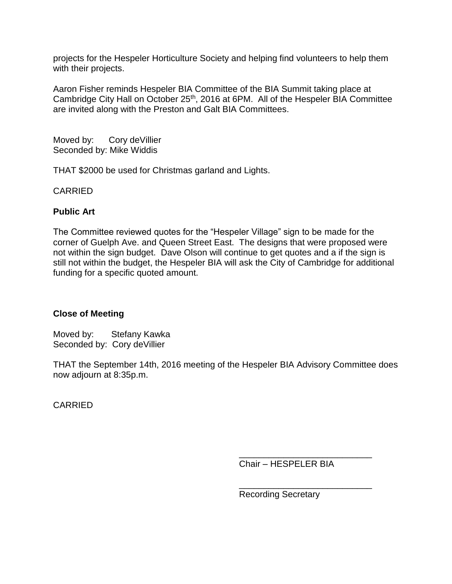projects for the Hespeler Horticulture Society and helping find volunteers to help them with their projects.

Aaron Fisher reminds Hespeler BIA Committee of the BIA Summit taking place at Cambridge City Hall on October 25<sup>th</sup>, 2016 at 6PM. All of the Hespeler BIA Committee are invited along with the Preston and Galt BIA Committees.

Moved by: Cory de Villier Seconded by: Mike Widdis

THAT \$2000 be used for Christmas garland and Lights.

CARRIED

## **Public Art**

The Committee reviewed quotes for the "Hespeler Village" sign to be made for the corner of Guelph Ave. and Queen Street East. The designs that were proposed were not within the sign budget. Dave Olson will continue to get quotes and a if the sign is still not within the budget, the Hespeler BIA will ask the City of Cambridge for additional funding for a specific quoted amount.

## **Close of Meeting**

Moved by: Stefany Kawka Seconded by: Cory deVillier

THAT the September 14th, 2016 meeting of the Hespeler BIA Advisory Committee does now adjourn at 8:35p.m.

CARRIED

\_\_\_\_\_\_\_\_\_\_\_\_\_\_\_\_\_\_\_\_\_\_\_\_\_\_\_ Chair – HESPELER BIA

\_\_\_\_\_\_\_\_\_\_\_\_\_\_\_\_\_\_\_\_\_\_\_\_\_\_\_ Recording Secretary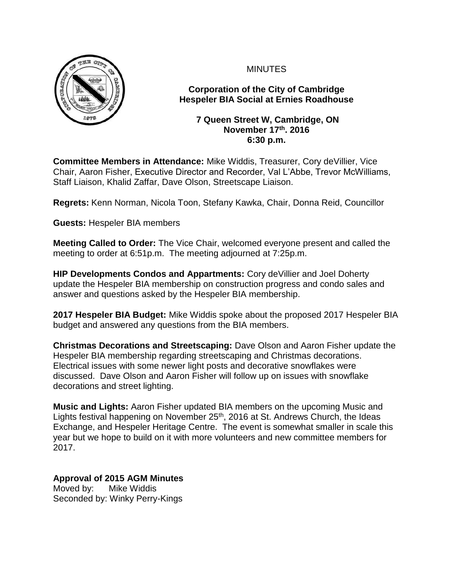

**Corporation of the City of Cambridge Hespeler BIA Social at Ernies Roadhouse**

### **7 Queen Street W, Cambridge, ON November 17th. 2016 6:30 p.m.**

**Committee Members in Attendance:** Mike Widdis, Treasurer, Cory deVillier, Vice Chair, Aaron Fisher, Executive Director and Recorder, Val L'Abbe, Trevor McWilliams, Staff Liaison, Khalid Zaffar, Dave Olson, Streetscape Liaison.

**Regrets:** Kenn Norman, Nicola Toon, Stefany Kawka, Chair, Donna Reid, Councillor

**Guests:** Hespeler BIA members

**Meeting Called to Order:** The Vice Chair, welcomed everyone present and called the meeting to order at 6:51p.m. The meeting adjourned at 7:25p.m.

**HIP Developments Condos and Appartments:** Cory deVillier and Joel Doherty update the Hespeler BIA membership on construction progress and condo sales and answer and questions asked by the Hespeler BIA membership.

**2017 Hespeler BIA Budget:** Mike Widdis spoke about the proposed 2017 Hespeler BIA budget and answered any questions from the BIA members.

**Christmas Decorations and Streetscaping:** Dave Olson and Aaron Fisher update the Hespeler BIA membership regarding streetscaping and Christmas decorations. Electrical issues with some newer light posts and decorative snowflakes were discussed. Dave Olson and Aaron Fisher will follow up on issues with snowflake decorations and street lighting.

**Music and Lights:** Aaron Fisher updated BIA members on the upcoming Music and Lights festival happening on November  $25<sup>th</sup>$ , 2016 at St. Andrews Church, the Ideas Exchange, and Hespeler Heritage Centre. The event is somewhat smaller in scale this year but we hope to build on it with more volunteers and new committee members for 2017.

# **Approval of 2015 AGM Minutes**

Moved by: Mike Widdis Seconded by: Winky Perry-Kings